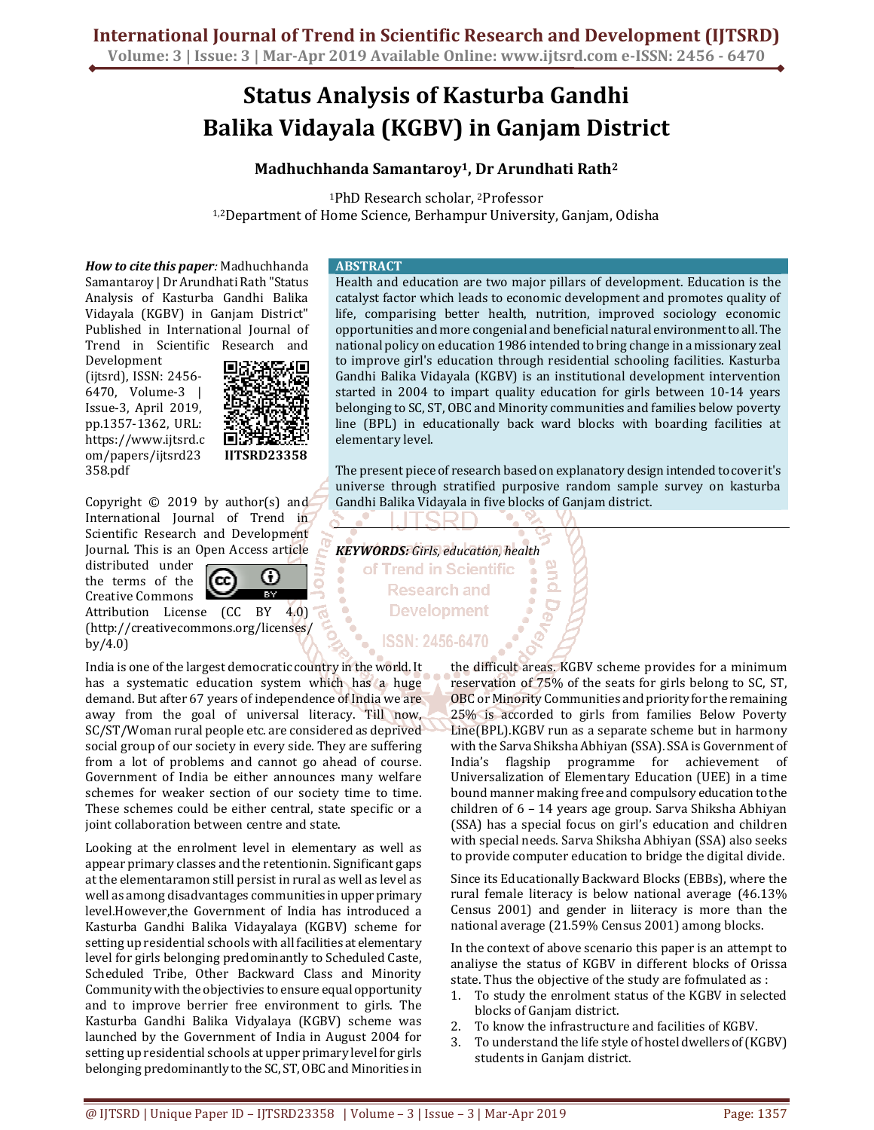# **Status Analysis of Kasturba Gandhi Balika Vidayala (KGBV) in Ganjam District**

# **Madhuchhanda Samantaroy<sup>1</sup>, Dr Arundhati Rath<sup>2</sup>**

<sup>1</sup>PhD Research scholar, 2Professor 1,2Department of Home Science, Berhampur University, Ganjam, Odisha

*How to cite this paper:* Madhuchhanda Samantaroy | Dr Arundhati Rath "Status Analysis of Kasturba Gandhi Balika Vidayala (KGBV) in Ganjam District" Published in International Journal of Trend in Scientific Research and

Development (ijtsrd), ISSN: 2456- 6470, Volume-3 | Issue-3, April 2019, pp.1357-1362, URL: https://www.ijtsrd.c om/papers/ijtsrd23 358.pdf



ω

Copyright © 2019 by author(s) and International Journal of Trend in Scientific Research and Development Journal. This is an Open Access article

distributed under the terms of the Creative Commons

Attribution License (CC BY 4.0) (http://creativecommons.org/licenses/ by/4.0)

'cc

India is one of the largest democratic country in the world. It has a systematic education system which has a huge demand. But after 67 years of independence of India we are away from the goal of universal literacy. Till now, SC/ST/Woman rural people etc. are considered as deprived social group of our society in every side. They are suffering from a lot of problems and cannot go ahead of course. Government of India be either announces many welfare schemes for weaker section of our society time to time. These schemes could be either central, state specific or a joint collaboration between centre and state.

Looking at the enrolment level in elementary as well as appear primary classes and the retentionin. Significant gaps at the elementaramon still persist in rural as well as level as well as among disadvantages communities in upper primary level.However,the Government of India has introduced a Kasturba Gandhi Balika Vidayalaya (KGBV) scheme for setting up residential schools with all facilities at elementary level for girls belonging predominantly to Scheduled Caste, Scheduled Tribe, Other Backward Class and Minority Community with the objectivies to ensure equal opportunity and to improve berrier free environment to girls. The Kasturba Gandhi Balika Vidyalaya (KGBV) scheme was launched by the Government of India in August 2004 for setting up residential schools at upper primary level for girls belonging predominantly to the SC, ST, OBC and Minorities in

#### **ABSTRACT**

Health and education are two major pillars of development. Education is the catalyst factor which leads to economic development and promotes quality of life, comparising better health, nutrition, improved sociology economic opportunities and more congenial and beneficial natural environment to all. The national policy on education 1986 intended to bring change in a missionary zeal to improve girl's education through residential schooling facilities. Kasturba Gandhi Balika Vidayala (KGBV) is an institutional development intervention started in 2004 to impart quality education for girls between 10-14 years belonging to SC, ST, OBC and Minority communities and families below poverty line (BPL) in educationally back ward blocks with boarding facilities at elementary level.

The present piece of research based on explanatory design intended to cover it's universe through stratified purposive random sample survey on kasturba Gandhi Balika Vidayala in five blocks of Ganjam district.

*KEYWORDS: Girls, education, health* of Trend in Scientific **Research and Development ISSN: 2456-6470** 

> the difficult areas. KGBV scheme provides for a minimum reservation of 75% of the seats for girls belong to SC, ST, OBC or Minority Communities and priority for the remaining 25% is accorded to girls from families Below Poverty Line(BPL).KGBV run as a separate scheme but in harmony with the Sarva Shiksha Abhiyan (SSA). SSA is Government of India's flagship programme for achievement of Universalization of Elementary Education (UEE) in a time bound manner making free and compulsory education to the children of 6 – 14 years age group. Sarva Shiksha Abhiyan (SSA) has a special focus on girl's education and children with special needs. Sarva Shiksha Abhiyan (SSA) also seeks to provide computer education to bridge the digital divide.

> Since its Educationally Backward Blocks (EBBs), where the rural female literacy is below national average (46.13% Census 2001) and gender in liiteracy is more than the national average (21.59% Census 2001) among blocks.

> In the context of above scenario this paper is an attempt to analiyse the status of KGBV in different blocks of Orissa state. Thus the objective of the study are fofmulated as :

- 1. To study the enrolment status of the KGBV in selected blocks of Ganjam district.
- 2. To know the infrastructure and facilities of KGBV.
- 3. To understand the life style of hostel dwellers of (KGBV) students in Ganjam district.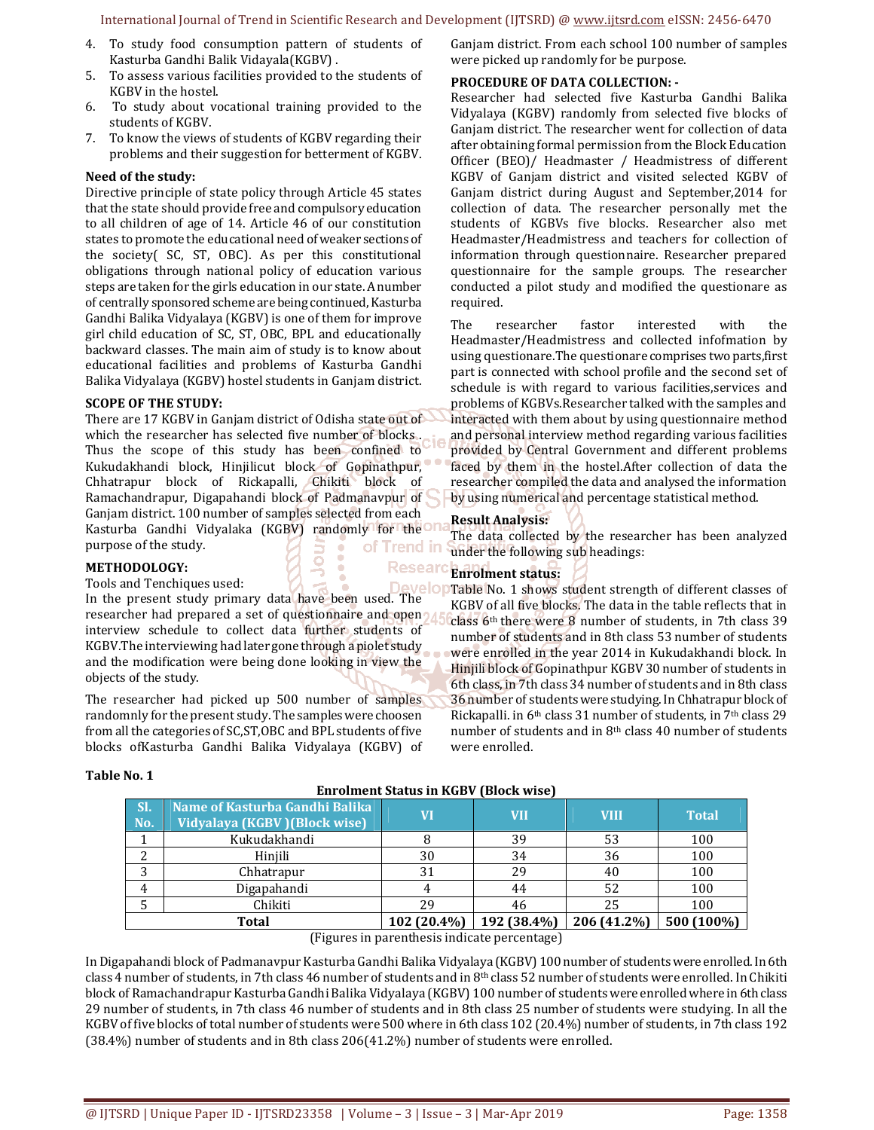- 4. To study food consumption pattern of students of Kasturba Gandhi Balik Vidayala(KGBV) .
- 5. To assess various facilities provided to the students of KGBV in the hostel.
- 6. To study about vocational training provided to the students of KGBV.
- 7. To know the views of students of KGBV regarding their problems and their suggestion for betterment of KGBV.

#### **Need of the study:**

Directive principle of state policy through Article 45 states that the state should provide free and compulsory education to all children of age of 14. Article 46 of our constitution states to promote the educational need of weaker sections of the society( SC, ST, OBC). As per this constitutional obligations through national policy of education various steps are taken for the girls education in our state. A number of centrally sponsored scheme are being continued, Kasturba Gandhi Balika Vidyalaya (KGBV) is one of them for improve girl child education of SC, ST, OBC, BPL and educationally backward classes. The main aim of study is to know about educational facilities and problems of Kasturba Gandhi Balika Vidyalaya (KGBV) hostel students in Ganjam district.

#### **SCOPE OF THE STUDY:**

There are 17 KGBV in Ganjam district of Odisha state out of which the researcher has selected five number of blocks . Thus the scope of this study has been confined to Kukudakhandi block, Hinjilicut block of Gopinathpur, Chhatrapur block of Rickapalli, Chikiti block of Ramachandrapur, Digapahandi block of Padmanavpur of Ganjam district. 100 number of samples selected from each Kasturba Gandhi Vidyalaka (KGBV) randomly for the U purpose of the study. of Trend in

# **METHODOLOGY:**

Tools and Tenchiques used:

In the present study primary data have been used. The researcher had prepared a set of questionnaire and open interview schedule to collect data further students of KGBV.The interviewing had later gone through a piolet study and the modification were being done looking in view the objects of the study.

The researcher had picked up 500 number of samples randomnly for the present study. The samples were choosen from all the categories of SC,ST,OBC and BPL students of five blocks ofKasturba Gandhi Balika Vidyalaya (KGBV) of

# Ganjam district. From each school 100 number of samples were picked up randomly for be purpose.

# **PROCEDURE OF DATA COLLECTION: -**

Researcher had selected five Kasturba Gandhi Balika Vidyalaya (KGBV) randomly from selected five blocks of Ganjam district. The researcher went for collection of data after obtaining formal permission from the Block Education Officer (BEO)/ Headmaster / Headmistress of different KGBV of Ganjam district and visited selected KGBV of Ganjam district during August and September,2014 for collection of data. The researcher personally met the students of KGBVs five blocks. Researcher also met Headmaster/Headmistress and teachers for collection of information through questionnaire. Researcher prepared questionnaire for the sample groups. The researcher conducted a pilot study and modified the questionare as required.

The researcher fastor interested with the Headmaster/Headmistress and collected infofmation by using questionare.The questionare comprises two parts,first part is connected with school profile and the second set of schedule is with regard to various facilities,services and problems of KGBVs.Researcher talked with the samples and interacted with them about by using questionnaire method and personal interview method regarding various facilities provided by Central Government and different problems faced by them in the hostel.After collection of data the researcher compiled the data and analysed the information by using numerical and percentage statistical method.

# **Result Analysis:**

The data collected by the researcher has been analyzed under the following sub headings:

#### Researd **Enrolment status:**  ا ما مىد

Table No. 1 shows student strength of different classes of KGBV of all five blocks. The data in the table reflects that in class 6th there were 8 number of students, in 7th class 39 number of students and in 8th class 53 number of students were enrolled in the year 2014 in Kukudakhandi block. In Hinjili block of Gopinathpur KGBV 30 number of students in 6th class, in 7th class 34 number of students and in 8th class 36 number of students were studying. In Chhatrapur block of Rickapalli. in 6th class 31 number of students, in 7th class 29 number of students and in 8th class 40 number of students were enrolled.

#### **Table No. 1**

| SI.<br>No. | Name of Kasturba Gandhi Balika<br>Vidyalaya (KGBV) (Block wise) | VI                                                                                                                                                                                                                                                                                                                                                                                                                        | VII         | <b>VIII</b> | <b>Total</b> |
|------------|-----------------------------------------------------------------|---------------------------------------------------------------------------------------------------------------------------------------------------------------------------------------------------------------------------------------------------------------------------------------------------------------------------------------------------------------------------------------------------------------------------|-------------|-------------|--------------|
|            | Kukudakhandi                                                    |                                                                                                                                                                                                                                                                                                                                                                                                                           | 39          | 53          | 100          |
| ∠          | Hiniili                                                         | 30                                                                                                                                                                                                                                                                                                                                                                                                                        | 34          | 36          | 100          |
| 3          | Chhatrapur                                                      | 31                                                                                                                                                                                                                                                                                                                                                                                                                        | 29          | 40          | 100          |
| 4          | Digapahandi                                                     |                                                                                                                                                                                                                                                                                                                                                                                                                           | 44          | 52          | 100          |
|            | Chikiti                                                         | 29                                                                                                                                                                                                                                                                                                                                                                                                                        | 46          | 25          | 100          |
|            | Total                                                           | 102 (20.4%)                                                                                                                                                                                                                                                                                                                                                                                                               | 192 (38.4%) | 206 (41.2%) | 500 (100%)   |
|            |                                                                 | $(T_1, \ldots, T_n, \ldots, T_n, \ldots, T_n, \ldots, T_n, \ldots, T_n, \ldots, T_n, \ldots, T_n, \ldots, T_n, \ldots, T_n, \ldots, T_n, \ldots, T_n, \ldots, T_n, \ldots, T_n, \ldots, T_n, \ldots, T_n, \ldots, T_n, \ldots, T_n, \ldots, T_n, \ldots, T_n, \ldots, T_n, \ldots, T_n, \ldots, T_n, \ldots, T_n, \ldots, T_n, \ldots, T_n, \ldots, T_n, \ldots, T_n, \ldots, T_n, \ldots, T_n, \ldots, T_n, \ldots, T_n$ |             |             |              |

(Figures in parenthesis indicate percentage)

In Digapahandi block of Padmanavpur Kasturba Gandhi Balika Vidyalaya (KGBV) 100 number of students were enrolled. In 6th class 4 number of students, in 7th class 46 number of students and in 8th class 52 number of students were enrolled. In Chikiti block of Ramachandrapur Kasturba Gandhi Balika Vidyalaya (KGBV) 100 number of students were enrolled where in 6th class 29 number of students, in 7th class 46 number of students and in 8th class 25 number of students were studying. In all the KGBV of five blocks of total number of students were 500 where in 6th class 102 (20.4%) number of students, in 7th class 192 (38.4%) number of students and in 8th class 206(41.2%) number of students were enrolled.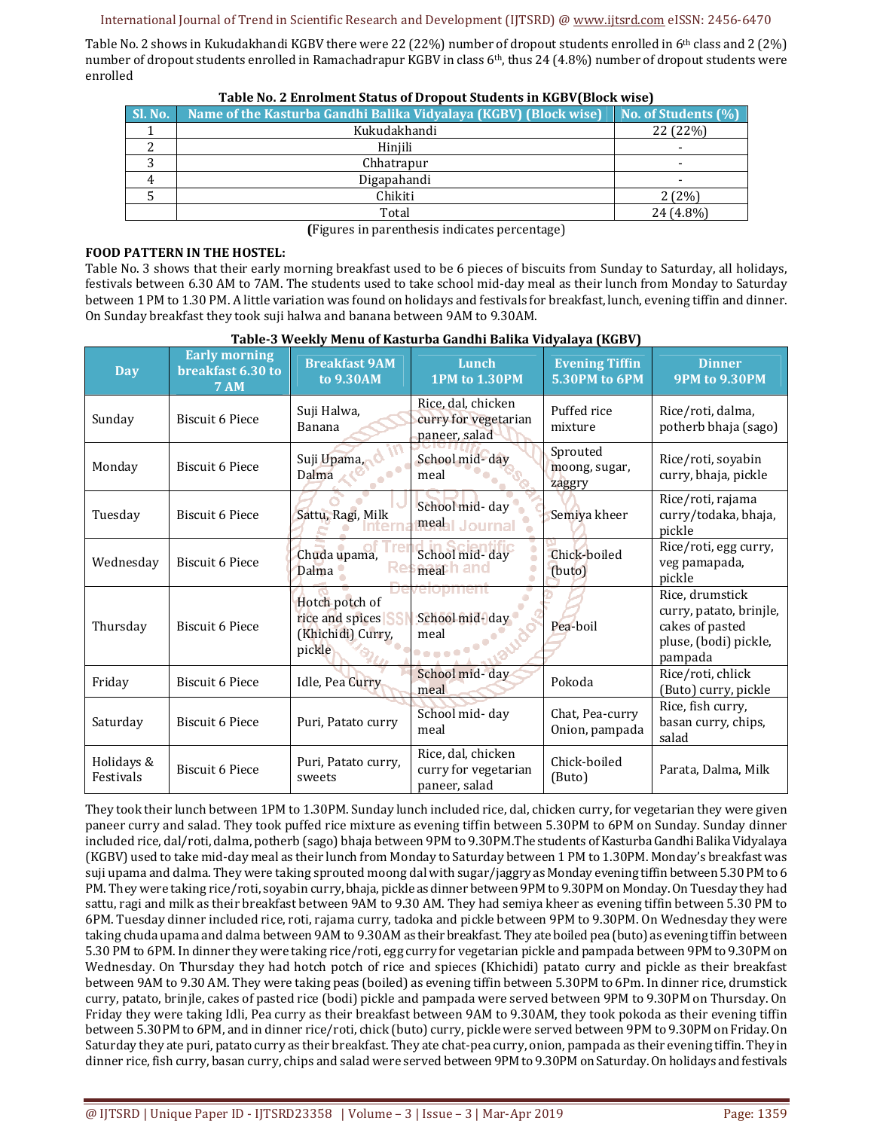Table No. 2 shows in Kukudakhandi KGBV there were 22 (22%) number of dropout students enrolled in 6<sup>th</sup> class and 2 (2%) number of dropout students enrolled in Ramachadrapur KGBV in class 6<sup>th</sup>, thus 24 (4.8%) number of dropout students were enrolled

| <b>SI. No.</b> 1 | Name of the Kasturba Gandhi Balika Vidyalaya (KGBV) (Block wise) | No. of Students (%) |
|------------------|------------------------------------------------------------------|---------------------|
|                  | Kukudakhandi                                                     | 22 (22%)            |
|                  | Hiniili                                                          |                     |
|                  | Chhatrapur                                                       |                     |
|                  | Digapahandi                                                      |                     |
|                  | Chikiti                                                          | 2(2%)               |
|                  | Total                                                            | 24 (4.8%)           |

**Table No. 2 Enrolment Status of Dropout Students in KGBV(Block wise)** 

**(**Figures in parenthesis indicates percentage)

# **FOOD PATTERN IN THE HOSTEL:**

Table No. 3 shows that their early morning breakfast used to be 6 pieces of biscuits from Sunday to Saturday, all holidays, festivals between 6.30 AM to 7AM. The students used to take school mid-day meal as their lunch from Monday to Saturday between 1 PM to 1.30 PM. A little variation was found on holidays and festivals for breakfast, lunch, evening tiffin and dinner. On Sunday breakfast they took suji halwa and banana between 9AM to 9.30AM.

| <b>Day</b>              | <b>Early morning</b><br>breakfast 6.30 to<br><b>7 AM</b> | <b>Breakfast 9AM</b><br>to 9.30AM                                | Lunch<br><b>1PM to 1.30PM</b>                               | <b>Evening Tiffin</b><br>5.30PM to 6PM | <b>Dinner</b><br><b>9PM to 9.30PM</b>                                                             |
|-------------------------|----------------------------------------------------------|------------------------------------------------------------------|-------------------------------------------------------------|----------------------------------------|---------------------------------------------------------------------------------------------------|
| Sunday                  | <b>Biscuit 6 Piece</b>                                   | Suji Halwa,<br>Banana                                            | Rice, dal, chicken<br>curry for vegetarian<br>paneer, salad | Puffed rice<br>mixture                 | Rice/roti, dalma,<br>potherb bhaja (sago)                                                         |
| Monday                  | <b>Biscuit 6 Piece</b>                                   | Suji Upama,<br>Dalma                                             | School mid-day<br>meal                                      | Sprouted<br>moong, sugar,<br>zaggry    |                                                                                                   |
| Tuesday                 | <b>Biscuit 6 Piece</b>                                   | Sattu, Ragi, Milk                                                | School mid- day<br>meahl Journal                            | Semiya kheer                           | Rice/roti, rajama<br>curry/todaka, bhaja,<br>pickle                                               |
| Wednesday               | <b>Biscuit 6 Piece</b>                                   | Chuda upama,<br>Dalma -                                          | School mid-day<br>meath and                                 | Chick-boiled<br>(buto)                 | Rice/roti, egg curry,<br>veg pamapada,<br>pickle                                                  |
| Thursday                | <b>Biscuit 6 Piece</b>                                   | Hotch potch of<br>rice and spices<br>(Khichidi) Curry,<br>pickle | elopment<br>School mid-day<br><b>Repeated</b>               | Pea-boil                               | Rice, drumstick<br>curry, patato, brinjle,<br>cakes of pasted<br>pluse, (bodi) pickle,<br>pampada |
| Friday                  | <b>Biscuit 6 Piece</b>                                   | Idle, Pea Curry                                                  | School mid-day<br>meal                                      | Pokoda                                 | Rice/roti, chlick<br>(Buto) curry, pickle                                                         |
| Saturday                | <b>Biscuit 6 Piece</b>                                   | Puri, Patato curry                                               | School mid-day<br>meal                                      | Chat, Pea-curry<br>Onion, pampada      | Rice, fish curry,<br>basan curry, chips,<br>salad                                                 |
| Holidays &<br>Festivals | <b>Biscuit 6 Piece</b>                                   | Puri, Patato curry,<br>sweets                                    | Rice, dal, chicken<br>curry for vegetarian<br>paneer, salad | Chick-boiled<br>(Buto)                 | Parata, Dalma, Milk                                                                               |

# **Table-3 Weekly Menu of Kasturba Gandhi Balika Vidyalaya (KGBV)**

They took their lunch between 1PM to 1.30PM. Sunday lunch included rice, dal, chicken curry, for vegetarian they were given paneer curry and salad. They took puffed rice mixture as evening tiffin between 5.30PM to 6PM on Sunday. Sunday dinner included rice, dal/roti, dalma, potherb (sago) bhaja between 9PM to 9.30PM.The students of Kasturba Gandhi Balika Vidyalaya (KGBV) used to take mid-day meal as their lunch from Monday to Saturday between 1 PM to 1.30PM. Monday's breakfast was suji upama and dalma. They were taking sprouted moong dal with sugar/jaggry as Monday evening tiffin between 5.30 PM to 6 PM. They were taking rice/roti, soyabin curry, bhaja, pickle as dinner between 9PM to 9.30PM on Monday. On Tuesday they had sattu, ragi and milk as their breakfast between 9AM to 9.30 AM. They had semiya kheer as evening tiffin between 5.30 PM to 6PM. Tuesday dinner included rice, roti, rajama curry, tadoka and pickle between 9PM to 9.30PM. On Wednesday they were taking chuda upama and dalma between 9AM to 9.30AM as their breakfast. They ate boiled pea (buto) as evening tiffin between 5.30 PM to 6PM. In dinner they were taking rice/roti, egg curry for vegetarian pickle and pampada between 9PM to 9.30PM on Wednesday. On Thursday they had hotch potch of rice and spieces (Khichidi) patato curry and pickle as their breakfast between 9AM to 9.30 AM. They were taking peas (boiled) as evening tiffin between 5.30PM to 6Pm. In dinner rice, drumstick curry, patato, brinjle, cakes of pasted rice (bodi) pickle and pampada were served between 9PM to 9.30PM on Thursday. On Friday they were taking Idli, Pea curry as their breakfast between 9AM to 9.30AM, they took pokoda as their evening tiffin between 5.30PM to 6PM, and in dinner rice/roti, chick (buto) curry, pickle were served between 9PM to 9.30PM on Friday. On Saturday they ate puri, patato curry as their breakfast. They ate chat-pea curry, onion, pampada as their evening tiffin. They in dinner rice, fish curry, basan curry, chips and salad were served between 9PM to 9.30PM on Saturday. On holidays and festivals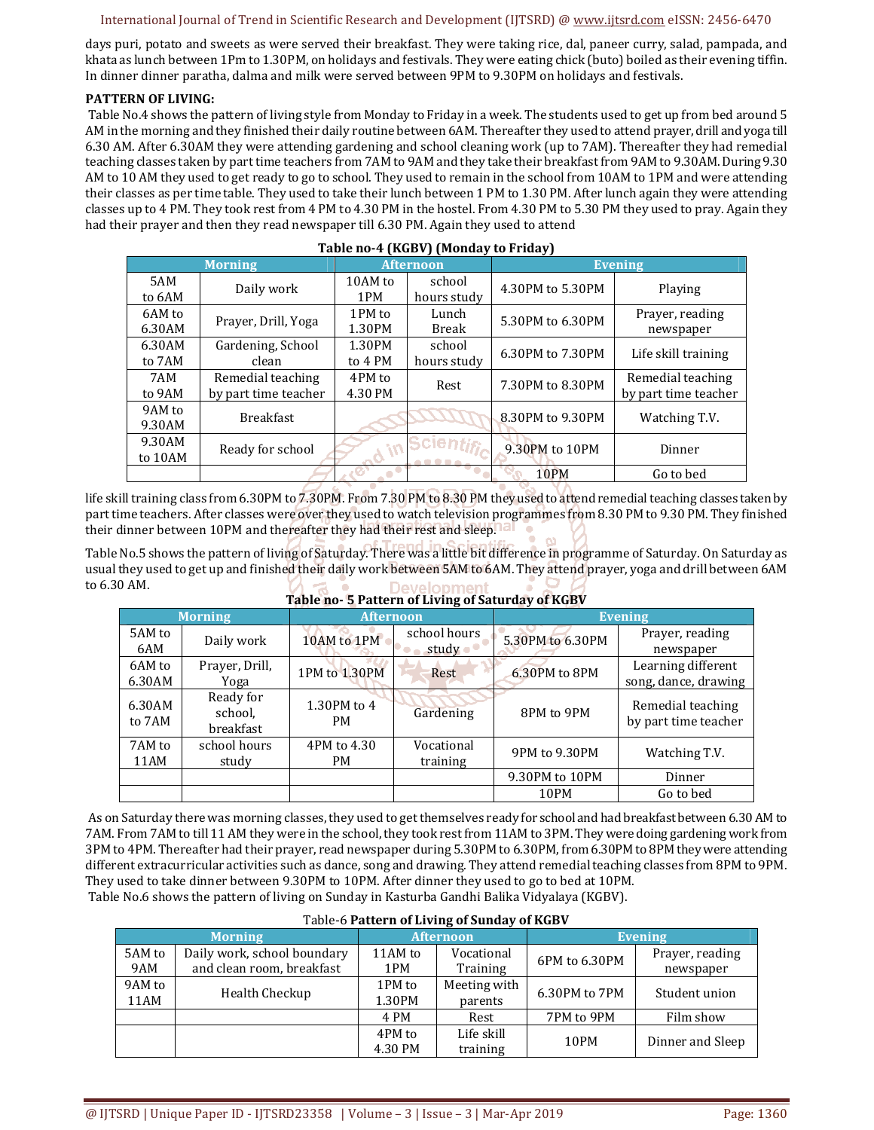days puri, potato and sweets as were served their breakfast. They were taking rice, dal, paneer curry, salad, pampada, and khata as lunch between 1Pm to 1.30PM, on holidays and festivals. They were eating chick (buto) boiled as their evening tiffin. In dinner dinner paratha, dalma and milk were served between 9PM to 9.30PM on holidays and festivals.

# **PATTERN OF LIVING:**

 Table No.4 shows the pattern of living style from Monday to Friday in a week. The students used to get up from bed around 5 AM in the morning and they finished their daily routine between 6AM. Thereafter they used to attend prayer, drill and yoga till 6.30 AM. After 6.30AM they were attending gardening and school cleaning work (up to 7AM). Thereafter they had remedial teaching classes taken by part time teachers from 7AM to 9AM and they take their breakfast from 9AM to 9.30AM. During 9.30 AM to 10 AM they used to get ready to go to school. They used to remain in the school from 10AM to 1PM and were attending their classes as per time table. They used to take their lunch between 1 PM to 1.30 PM. After lunch again they were attending classes up to 4 PM. They took rest from 4 PM to 4.30 PM in the hostel. From 4.30 PM to 5.30 PM they used to pray. Again they had their prayer and then they read newspaper till 6.30 PM. Again they used to attend

**Table no-4 (KGBV) (Monday to Friday)** 

| Table no-4 (KGBV) (Monday to Friday) |                      |         |                  |                  |                      |  |  |  |  |
|--------------------------------------|----------------------|---------|------------------|------------------|----------------------|--|--|--|--|
|                                      | <b>Morning</b>       |         | <b>Afternoon</b> | <b>Evening</b>   |                      |  |  |  |  |
| 5AM                                  | Daily work           | 10AM to | school           | 4.30PM to 5.30PM | Playing              |  |  |  |  |
| to 6AM                               |                      | 1PM     | hours study      |                  |                      |  |  |  |  |
| 6AM to                               | Prayer, Drill, Yoga  | 1PM to  | Lunch            | 5.30PM to 6.30PM | Prayer, reading      |  |  |  |  |
| 6.30AM                               |                      | 1.30PM  | Break            |                  | newspaper            |  |  |  |  |
| 6.30AM                               | Gardening, School    | 1.30PM  | school           | 6.30PM to 7.30PM | Life skill training  |  |  |  |  |
| to 7AM                               | clean                | to 4 PM | hours study      |                  |                      |  |  |  |  |
| 7AM                                  | Remedial teaching    | 4PM to  | Rest             | 7.30PM to 8.30PM | Remedial teaching    |  |  |  |  |
| to 9AM                               | by part time teacher | 4.30 PM |                  |                  | by part time teacher |  |  |  |  |
| 9AM to                               | <b>Breakfast</b>     |         |                  | 8.30PM to 9.30PM | Watching T.V.        |  |  |  |  |
| 9.30AM                               |                      |         |                  |                  |                      |  |  |  |  |
| 9.30AM                               | Ready for school     |         | Scien            | 9.30PM to 10PM   | Dinner               |  |  |  |  |
| to 10AM                              |                      |         |                  |                  |                      |  |  |  |  |
|                                      |                      |         |                  | 10PM             | Go to bed            |  |  |  |  |

life skill training class from 6.30PM to 7.30PM. From 7.30 PM to 8.30 PM they used to attend remedial teaching classes taken by part time teachers. After classes were over they used to watch television programmes from 8.30 PM to 9.30 PM. They finished their dinner between 10PM and thereafter they had their rest and sleep.

Table No.5 shows the pattern of living of Saturday. There was a little bit difference in programme of Saturday. On Saturday as usual they used to get up and finished their daily work between 5AM to 6AM. They attend prayer, yoga and drill between 6AM to 6.30 AM. **Table 1 Development of Saturday 3** 

| Table no- 5 Pattern of Living of Saturday of KGBV |                                   |                          |                                 |                  |                                            |  |  |  |  |
|---------------------------------------------------|-----------------------------------|--------------------------|---------------------------------|------------------|--------------------------------------------|--|--|--|--|
| <b>Morning</b>                                    |                                   | <b>Afternoon</b>         |                                 | <b>Evening</b>   |                                            |  |  |  |  |
| 5AM to<br>6AM                                     | Daily work                        | 10AM to 1PM              | school hours<br>study $\bullet$ | 5.30PM to 6.30PM | Prayer, reading<br>newspaper               |  |  |  |  |
| 6AM to<br>6.30AM                                  | Prayer, Drill,<br>Yoga            | 1PM to 1.30PM            | Rest                            | 6.30PM to 8PM    | Learning different<br>song, dance, drawing |  |  |  |  |
| 6.30AM<br>to 7AM                                  | Ready for<br>school,<br>breakfast | 1.30PM to 4<br><b>PM</b> | Gardening                       | 8PM to 9PM       | Remedial teaching<br>by part time teacher  |  |  |  |  |
| 7AM to<br>11AM                                    | school hours<br>study             | 4PM to 4.30<br>PM        | Vocational<br>training          | 9PM to 9.30PM    | Watching T.V.                              |  |  |  |  |
|                                                   |                                   |                          |                                 | 9.30PM to 10PM   | Dinner                                     |  |  |  |  |
|                                                   |                                   |                          |                                 | 10PM             | Go to bed                                  |  |  |  |  |

 As on Saturday there was morning classes, they used to get themselves ready for school and had breakfast between 6.30 AM to 7AM. From 7AM to till 11 AM they were in the school, they took rest from 11AM to 3PM. They were doing gardening work from 3PM to 4PM. Thereafter had their prayer, read newspaper during 5.30PM to 6.30PM, from 6.30PM to 8PM they were attending different extracurricular activities such as dance, song and drawing. They attend remedial teaching classes from 8PM to 9PM. They used to take dinner between 9.30PM to 10PM. After dinner they used to go to bed at 10PM. Table No.6 shows the pattern of living on Sunday in Kasturba Gandhi Balika Vidyalaya (KGBV).

| Table-6 Pattern of Living of Sunday of KGBV |                                                          |                   |                         |                |                              |  |  |  |  |
|---------------------------------------------|----------------------------------------------------------|-------------------|-------------------------|----------------|------------------------------|--|--|--|--|
|                                             | <b>Morning</b>                                           |                   | <b>Afternoon</b>        | <b>Evening</b> |                              |  |  |  |  |
| 5AM to<br>9AM                               | Daily work, school boundary<br>and clean room, breakfast | 11AM to<br>1PM    | Vocational<br>Training  | 6PM to 6.30PM  | Prayer, reading<br>newspaper |  |  |  |  |
| 9AM to<br>11AM                              | Health Checkup                                           | 1PM to<br>1.30PM  | Meeting with<br>parents | 6.30PM to 7PM  | Student union                |  |  |  |  |
|                                             |                                                          | 4 PM              | Rest                    | 7PM to 9PM     | Film show                    |  |  |  |  |
|                                             |                                                          | 4PM to<br>4.30 PM | Life skill<br>training  | 10PM           | Dinner and Sleep             |  |  |  |  |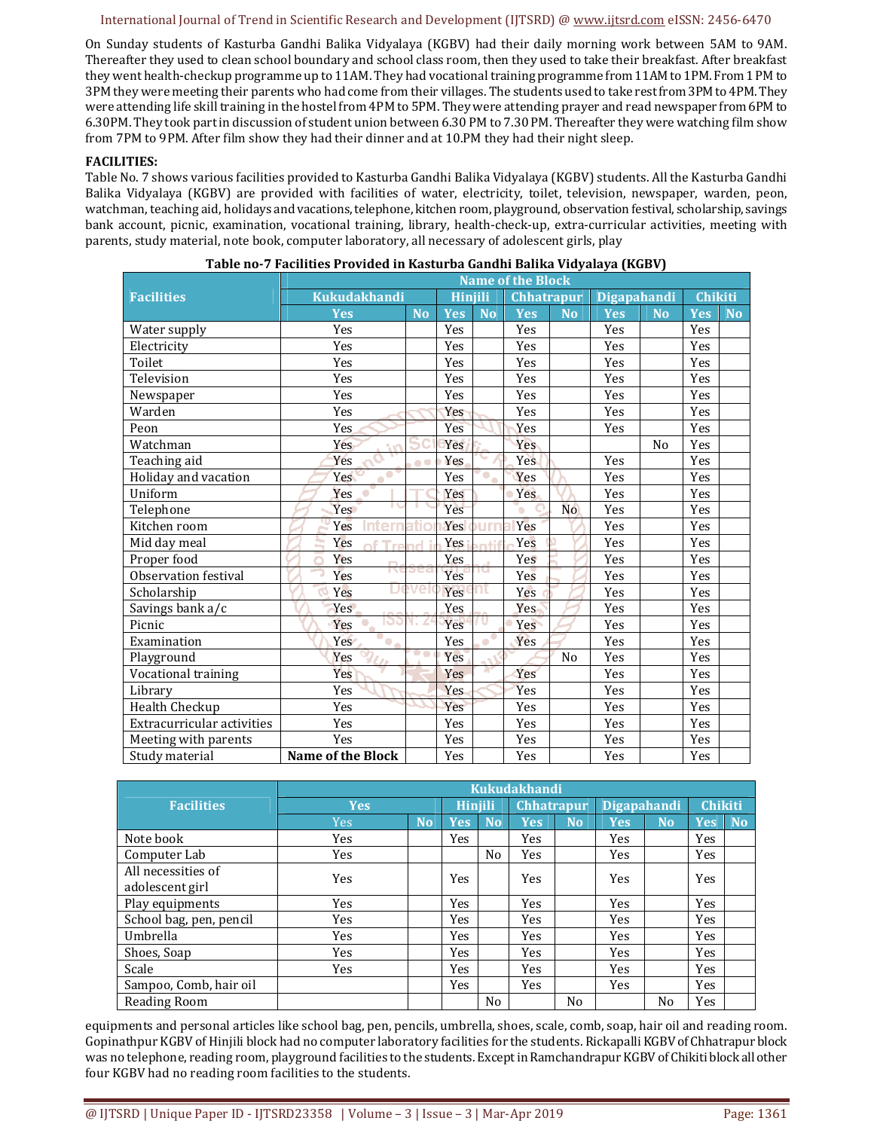On Sunday students of Kasturba Gandhi Balika Vidyalaya (KGBV) had their daily morning work between 5AM to 9AM. Thereafter they used to clean school boundary and school class room, then they used to take their breakfast. After breakfast they went health-checkup programme up to 11AM. They had vocational training programme from 11AM to 1PM. From 1 PM to 3PM they were meeting their parents who had come from their villages. The students used to take rest from 3PM to 4PM. They were attending life skill training in the hostel from 4PM to 5PM. They were attending prayer and read newspaper from 6PM to 6.30PM. They took part in discussion of student union between 6.30 PM to 7.30 PM. Thereafter they were watching film show from 7PM to 9PM. After film show they had their dinner and at 10.PM they had their night sleep.

#### **FACILITIES:**

Table No. 7 shows various facilities provided to Kasturba Gandhi Balika Vidyalaya (KGBV) students. All the Kasturba Gandhi Balika Vidyalaya (KGBV) are provided with facilities of water, electricity, toilet, television, newspaper, warden, peon, watchman, teaching aid, holidays and vacations, telephone, kitchen room, playground, observation festival, scholarship, savings bank account, picnic, examination, vocational training, library, health-check-up, extra-curricular activities, meeting with parents, study material, note book, computer laboratory, all necessary of adolescent girls, play

|                            | <b>Name of the Block</b>                    |           |                |           |                   |           |                    |                |            |           |
|----------------------------|---------------------------------------------|-----------|----------------|-----------|-------------------|-----------|--------------------|----------------|------------|-----------|
| <b>Facilities</b>          | <b>Kukudakhandi</b>                         |           | <b>Hinjili</b> |           | <b>Chhatrapur</b> |           | <b>Digapahandi</b> |                | Chikiti    |           |
|                            | <b>Yes</b>                                  | <b>No</b> | <b>Yes</b>     | <b>No</b> | <b>Yes</b>        | <b>No</b> | <b>Yes</b>         | <b>No</b>      | <b>Yes</b> | <b>No</b> |
| Water supply               | Yes                                         |           | Yes            |           | Yes               |           | Yes                |                | Yes        |           |
| Electricity                | Yes                                         |           | Yes            |           | Yes               |           | Yes                |                | Yes        |           |
| Toilet                     | Yes                                         |           | Yes            |           | Yes               |           | Yes                |                | Yes        |           |
| Television                 | Yes                                         |           | Yes            |           | Yes               |           | Yes                |                | Yes        |           |
| Newspaper                  | Yes                                         |           | Yes            |           | Yes               |           | Yes                |                | Yes        |           |
| Warden                     | Yes                                         |           | Yes            |           | Yes               |           | Yes                |                | Yes        |           |
| Peon                       | Yes                                         |           | Yes            |           | Yes               |           | Yes                |                | Yes        |           |
| Watchman                   | Yes                                         |           | Yes            |           | Yes               |           |                    | N <sub>o</sub> | Yes        |           |
| Teaching aid               | Yes                                         | $\bullet$ | <b>Yes</b>     |           | <b>Yes</b>        |           | Yes                |                | Yes        |           |
| Holiday and vacation       | $\bullet$<br>Yes                            |           | Yes            | $\bullet$ | Yes               |           | Yes                |                | Yes        |           |
| Uniform                    | Yes                                         |           | Yes            |           | Yes               |           | Yes                |                | Yes        |           |
| Telephone                  | Yes                                         |           | Yes            |           | o                 | <b>No</b> | Yes                |                | Yes        |           |
| Kitchen room               | Yes                                         |           | Yes            |           | Yes               |           | Yes                |                | Yes        |           |
| Mid day meal               | Yes<br>$\mathsf{T}_{\mathsf{M} \mathsf{C}}$ |           | Yes            |           | Yes               |           | Yes                |                | Yes        |           |
| Proper food                | Yes                                         |           | Yes            |           | Yes               |           | Yes                |                | Yes        |           |
| Observation festival       | Yes                                         |           | Yes            |           | Yes               |           | Yes                |                | Yes        |           |
| Scholarship                | Yes                                         | е         | Yes            |           | Yes               |           | Yes                |                | Yes        |           |
| Savings bank a/c           | Yes <sup></sup>                             |           | Yes            |           | <b>Yes</b>        |           | Yes                |                | Yes        |           |
| Picnic                     | ю<br>Yes                                    | L         | Yes            | υ         | Yes               |           | Yes                |                | Yes        |           |
| Examination                | Yes<br>$\bullet$                            |           | Yes            |           | Yes               |           | Yes                |                | Yes        |           |
| Playground                 | Yes                                         | . .       | Yes            |           |                   | No        | Yes                |                | Yes        |           |
| Vocational training        | Yes                                         |           | Yes            |           | Yes               |           | Yes                |                | Yes        |           |
| Library                    | Yes                                         |           | Yes            |           | Yes               |           | Yes                |                | Yes        |           |
| Health Checkup             | Yes                                         |           | Yes            |           | Yes               |           | Yes                |                | Yes        |           |
| Extracurricular activities | Yes                                         |           | Yes            |           | Yes               |           | Yes                |                | Yes        |           |
| Meeting with parents       | Yes                                         |           | Yes            |           | Yes               |           | Yes                |                | Yes        |           |
| Study material             | <b>Name of the Block</b>                    |           | Yes            |           | Yes               |           | Yes                |                | Yes        |           |

| Table no-7 Facilities Provided in Kasturba Gandhi Balika Vidyalaya (KGBV) |  |  |  |  |  |  |  |
|---------------------------------------------------------------------------|--|--|--|--|--|--|--|
|---------------------------------------------------------------------------|--|--|--|--|--|--|--|

|                                       | <b>Kukudakhandi</b> |           |                |           |                   |                |                    |                |                |           |  |
|---------------------------------------|---------------------|-----------|----------------|-----------|-------------------|----------------|--------------------|----------------|----------------|-----------|--|
| <b>Facilities</b>                     | <b>Yes</b>          |           | <b>Hiniili</b> |           | <b>Chhatrapur</b> |                | <b>Digapahandi</b> |                | <b>Chikiti</b> |           |  |
|                                       | <b>Yes</b>          | <b>No</b> | Yes            | <b>No</b> | <b>Yes</b>        | <b>No</b>      | <b>Yes</b>         | N <sub>o</sub> | Yes            | <b>No</b> |  |
| Note book                             | <b>Yes</b>          |           | <b>Yes</b>     |           | Yes               |                | Yes                |                | <b>Yes</b>     |           |  |
| Computer Lab                          | <b>Yes</b>          |           |                | No        | Yes               |                | Yes                |                | <b>Yes</b>     |           |  |
| All necessities of<br>adolescent girl | Yes                 |           | Yes            |           | Yes               |                | Yes                |                | <b>Yes</b>     |           |  |
| Play equipments                       | Yes                 |           | Yes            |           | Yes               |                | Yes                |                | <b>Yes</b>     |           |  |
| School bag, pen, pencil               | <b>Yes</b>          |           | <b>Yes</b>     |           | <b>Yes</b>        |                | Yes                |                | <b>Yes</b>     |           |  |
| Umbrella                              | <b>Yes</b>          |           | <b>Yes</b>     |           | <b>Yes</b>        |                | Yes                |                | <b>Yes</b>     |           |  |
| Shoes, Soap                           | <b>Yes</b>          |           | Yes            |           | Yes               |                | Yes                |                | <b>Yes</b>     |           |  |
| Scale                                 | <b>Yes</b>          |           | <b>Yes</b>     |           | <b>Yes</b>        |                | Yes                |                | <b>Yes</b>     |           |  |
| Sampoo, Comb, hair oil                |                     |           | <b>Yes</b>     |           | <b>Yes</b>        |                | Yes                |                | <b>Yes</b>     |           |  |
| Reading Room                          |                     |           |                | No        |                   | N <sub>0</sub> |                    | No             | Yes            |           |  |

equipments and personal articles like school bag, pen, pencils, umbrella, shoes, scale, comb, soap, hair oil and reading room. Gopinathpur KGBV of Hinjili block had no computer laboratory facilities for the students. Rickapalli KGBV of Chhatrapur block was no telephone, reading room, playground facilities to the students. Except in Ramchandrapur KGBV of Chikiti block all other four KGBV had no reading room facilities to the students.